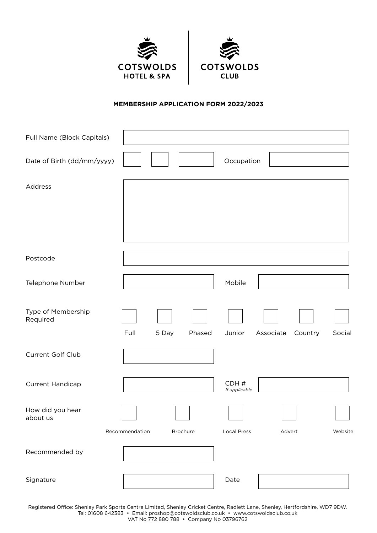



# **MEMBERSHIP APPLICATION FORM 2022/2023**

| Full Name (Block Capitals)     |                |                 |                       |                      |         |
|--------------------------------|----------------|-----------------|-----------------------|----------------------|---------|
| Date of Birth (dd/mm/yyyy)     |                |                 | Occupation            |                      |         |
| Address                        |                |                 |                       |                      |         |
|                                |                |                 |                       |                      |         |
|                                |                |                 |                       |                      |         |
| Postcode                       |                |                 |                       |                      |         |
| Telephone Number               |                |                 | Mobile                |                      |         |
| Type of Membership<br>Required | Full           | 5 Day<br>Phased | Junior                | Associate<br>Country | Social  |
| Current Golf Club              |                |                 |                       |                      |         |
| Current Handicap               |                |                 | CDH#<br>If applicable |                      |         |
| How did you hear<br>about us   |                |                 |                       |                      |         |
|                                | Recommendation | Brochure        | <b>Local Press</b>    | Advert               | Website |
| Recommended by                 |                |                 |                       |                      |         |
| Signature                      |                |                 | Date                  |                      |         |

Registered Office: Shenley Park Sports Centre Limited, Shenley Cricket Centre, Radlett Lane, Shenley, Hertfordshire, WD7 9DW. Tel: 01608 642383 • Email: proshop@cotswoldsclub.co.uk • www.cotswoldsclub.co.uk

VAT No 772 880 788 • Company No 03796762